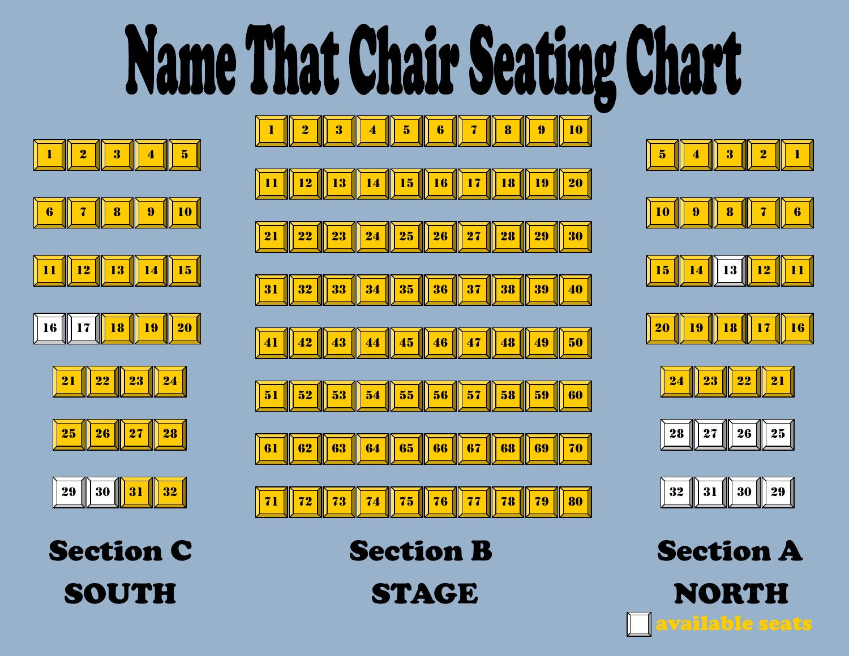## **Name That Chair Seating Chart**





























| I | 31 | 30<br>ı |  |
|---|----|---------|--|
|   |    |         |  |

SOUTH STAGE NORTH